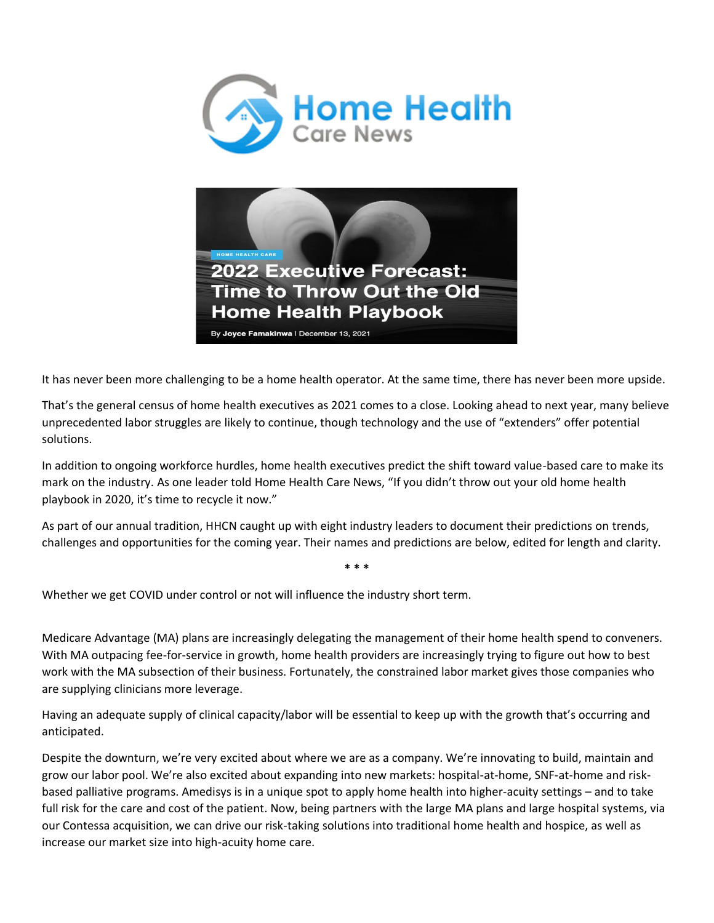



It has never been more challenging to be a home health operator. At the same time, there has never been more upside.

That's the general census of home health executives as 2021 comes to a close. Looking ahead to next year, many believe unprecedented labor struggles are likely to continue, though technology and the use of "extenders" offer potential solutions.

In addition to ongoing workforce hurdles, home health executives predict the shift toward value-based care to make its mark on the industry. As one leader told Home Health Care News, "If you didn't throw out your old home health playbook in 2020, it's time to recycle it now."

As part of our annual tradition, HHCN caught up with eight industry leaders to document their predictions on trends, challenges and opportunities for the coming year. Their names and predictions are below, edited for length and clarity.

**\* \* \***

Whether we get COVID under control or not will influence the industry short term.

Medicare Advantage (MA) plans are increasingly delegating the management of their home health spend to conveners. With MA outpacing fee-for-service in growth, home health providers are increasingly trying to figure out how to best work with the MA subsection of their business. Fortunately, the constrained labor market gives those companies who are supplying clinicians more leverage.

Having an adequate supply of clinical capacity/labor will be essential to keep up with the growth that's occurring and anticipated.

Despite the downturn, we're very excited about where we are as a company. We're innovating to build, maintain and grow our labor pool. We're also excited about expanding into new markets: hospital-at-home, SNF-at-home and riskbased palliative programs. Amedisys is in a unique spot to apply home health into higher-acuity settings – and to take full risk for the care and cost of the patient. Now, being partners with the large MA plans and large hospital systems, via our Contessa acquisition, we can drive our risk-taking solutions into traditional home health and hospice, as well as increase our market size into high-acuity home care.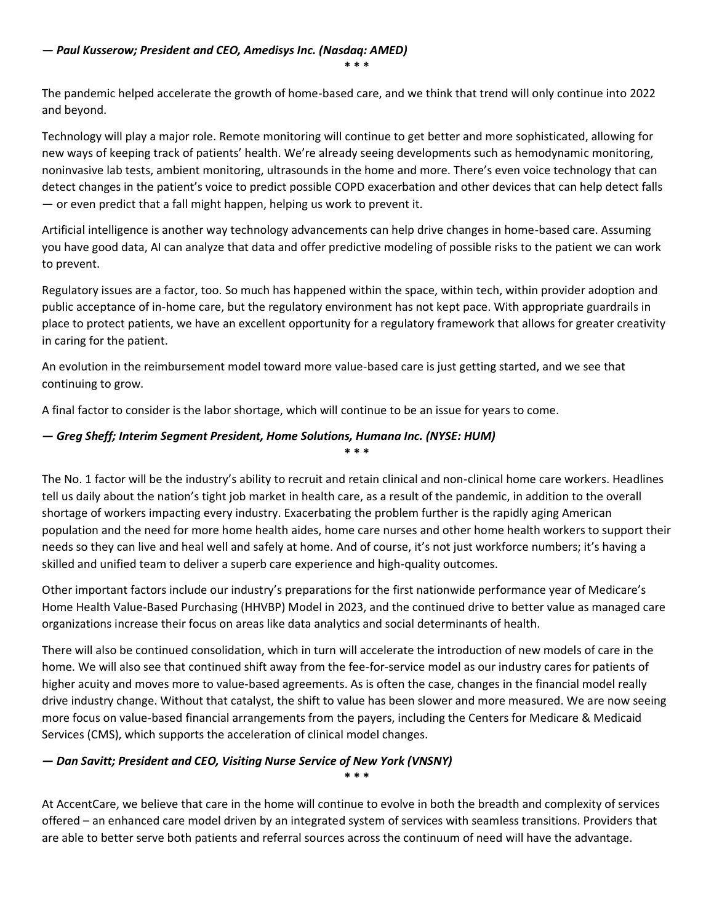**\* \* \***

The pandemic helped accelerate the growth of home-based care, and we think that trend will only continue into 2022 and beyond.

Technology will play a major role. Remote monitoring will continue to get better and more sophisticated, allowing for new ways of keeping track of patients' health. We're already seeing developments such as hemodynamic monitoring, noninvasive lab tests, ambient monitoring, ultrasounds in the home and more. There's even voice technology that can detect changes in the patient's voice to predict possible COPD exacerbation and other devices that can help detect falls — or even predict that a fall might happen, helping us work to prevent it.

Artificial intelligence is another way technology advancements can help drive changes in home-based care. Assuming you have good data, AI can analyze that data and offer predictive modeling of possible risks to the patient we can work to prevent.

Regulatory issues are a factor, too. So much has happened within the space, within tech, within provider adoption and public acceptance of in-home care, but the regulatory environment has not kept pace. With appropriate guardrails in place to protect patients, we have an excellent opportunity for a regulatory framework that allows for greater creativity in caring for the patient.

An evolution in the reimbursement model toward more value-based care is just getting started, and we see that continuing to grow.

A final factor to consider is the labor shortage, which will continue to be an issue for years to come.

#### *— Greg Sheff; Interim Segment President, Home Solutions, Humana Inc. (NYSE: HUM)* **\* \* \***

The No. 1 factor will be the industry's ability to recruit and retain clinical and non-clinical home care workers. Headlines tell us daily about the nation's tight job market in health care, as a result of the pandemic, in addition to the overall shortage of workers impacting every industry. Exacerbating the problem further is the rapidly aging American population and the need for more home health aides, home care nurses and other home health workers to support their needs so they can live and heal well and safely at home. And of course, it's not just workforce numbers; it's having a skilled and unified team to deliver a superb care experience and high-quality outcomes.

Other important factors include our industry's preparations for the first nationwide performance year of Medicare's Home Health Value-Based Purchasing (HHVBP) Model in 2023, and the continued drive to better value as managed care organizations increase their focus on areas like data analytics and social determinants of health.

There will also be continued consolidation, which in turn will accelerate the introduction of new models of care in the home. We will also see that continued shift away from the fee-for-service model as our industry cares for patients of higher acuity and moves more to value-based agreements. As is often the case, changes in the financial model really drive industry change. Without that catalyst, the shift to value has been slower and more measured. We are now seeing more focus on value-based financial arrangements from the payers, including the Centers for Medicare & Medicaid Services (CMS), which supports the acceleration of clinical model changes.

#### *— Dan Savitt; President and CEO, Visiting Nurse Service of New York (VNSNY)* **\* \* \***

At AccentCare, we believe that care in the home will continue to evolve in both the breadth and complexity of services offered – an enhanced care model driven by an integrated system of services with seamless transitions. Providers that are able to better serve both patients and referral sources across the continuum of need will have the advantage.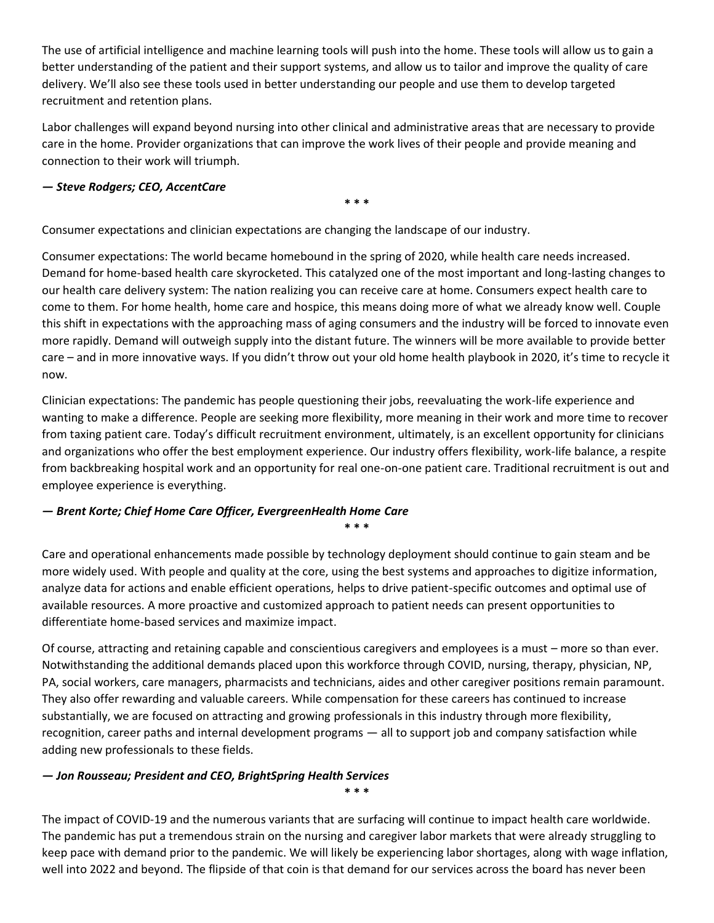The use of artificial intelligence and machine learning tools will push into the home. These tools will allow us to gain a better understanding of the patient and their support systems, and allow us to tailor and improve the quality of care delivery. We'll also see these tools used in better understanding our people and use them to develop targeted recruitment and retention plans.

Labor challenges will expand beyond nursing into other clinical and administrative areas that are necessary to provide care in the home. Provider organizations that can improve the work lives of their people and provide meaning and connection to their work will triumph.

### *— Steve Rodgers; CEO, AccentCare*

**\* \* \***

Consumer expectations and clinician expectations are changing the landscape of our industry.

Consumer expectations: The world became homebound in the spring of 2020, while health care needs increased. Demand for home-based health care skyrocketed. This catalyzed one of the most important and long-lasting changes to our health care delivery system: The nation realizing you can receive care at home. Consumers expect health care to come to them. For home health, home care and hospice, this means doing more of what we already know well. Couple this shift in expectations with the approaching mass of aging consumers and the industry will be forced to innovate even more rapidly. Demand will outweigh supply into the distant future. The winners will be more available to provide better care – and in more innovative ways. If you didn't throw out your old home health playbook in 2020, it's time to recycle it now.

Clinician expectations: The pandemic has people questioning their jobs, reevaluating the work-life experience and wanting to make a difference. People are seeking more flexibility, more meaning in their work and more time to recover from taxing patient care. Today's difficult recruitment environment, ultimately, is an excellent opportunity for clinicians and organizations who offer the best employment experience. Our industry offers flexibility, work-life balance, a respite from backbreaking hospital work and an opportunity for real one-on-one patient care. Traditional recruitment is out and employee experience is everything.

## *— Brent Korte; Chief Home Care Officer, EvergreenHealth Home Care* **\* \* \***

Care and operational enhancements made possible by technology deployment should continue to gain steam and be more widely used. With people and quality at the core, using the best systems and approaches to digitize information, analyze data for actions and enable efficient operations, helps to drive patient-specific outcomes and optimal use of available resources. A more proactive and customized approach to patient needs can present opportunities to differentiate home-based services and maximize impact.

Of course, attracting and retaining capable and conscientious caregivers and employees is a must – more so than ever. Notwithstanding the additional demands placed upon this workforce through COVID, nursing, therapy, physician, NP, PA, social workers, care managers, pharmacists and technicians, aides and other caregiver positions remain paramount. They also offer rewarding and valuable careers. While compensation for these careers has continued to increase substantially, we are focused on attracting and growing professionals in this industry through more flexibility, recognition, career paths and internal development programs — all to support job and company satisfaction while adding new professionals to these fields.

## *— Jon Rousseau; President and CEO, BrightSpring Health Services*

The impact of COVID-19 and the numerous variants that are surfacing will continue to impact health care worldwide. The pandemic has put a tremendous strain on the nursing and caregiver labor markets that were already struggling to keep pace with demand prior to the pandemic. We will likely be experiencing labor shortages, along with wage inflation, well into 2022 and beyond. The flipside of that coin is that demand for our services across the board has never been

**\* \* \***